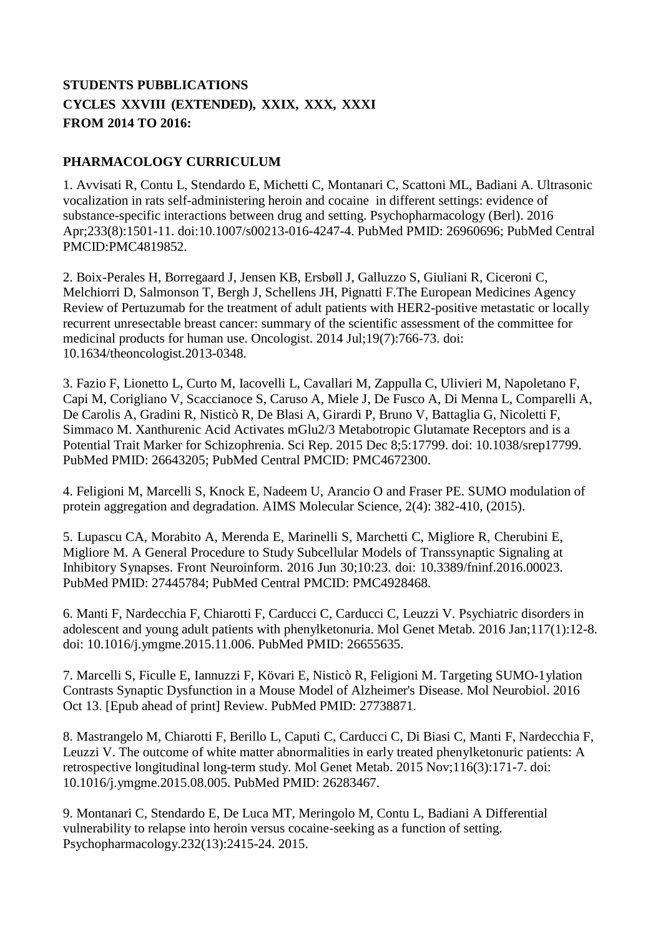## **STUDENTS PUBBLICATIONS CYCLES XXVIII (EXTENDED), XXIX, XXX, XXXI FROM 2014 TO 2016:**

## **PHARMACOLOGY CURRICULUM**

1. Avvisati R, Contu L, Stendardo E, Michetti C, Montanari C, Scattoni ML, Badiani A. Ultrasonic vocalization in rats self-administering heroin and cocaine in different settings: evidence of substance-specific interactions between drug and setting. Psychopharmacology (Berl). 2016 Apr;233(8):1501-11. doi:10.1007/s00213-016-4247-4. PubMed PMID: 26960696; PubMed Central PMCID:PMC4819852.

2. Boix-Perales H, Borregaard J, Jensen KB, Ersbøll J, Galluzzo S, Giuliani R, Ciceroni C, Melchiorri D, Salmonson T, Bergh J, Schellens JH, Pignatti F.The European Medicines Agency Review of Pertuzumab for the treatment of adult patients with HER2-positive metastatic or locally recurrent unresectable breast cancer: summary of the scientific assessment of the committee for medicinal products for human use. Oncologist. 2014 Jul;19(7):766-73. doi: 10.1634/theoncologist.2013-0348.

3. Fazio F, Lionetto L, Curto M, Iacovelli L, Cavallari M, Zappulla C, Ulivieri M, Napoletano F, Capi M, Corigliano V, Scaccianoce S, Caruso A, Miele J, De Fusco A, Di Menna L, Comparelli A, De Carolis A, Gradini R, Nisticò R, De Blasi A, Girardi P, Bruno V, Battaglia G, Nicoletti F, Simmaco M. Xanthurenic Acid Activates mGlu2/3 Metabotropic Glutamate Receptors and is a Potential Trait Marker for Schizophrenia. Sci Rep. 2015 Dec 8;5:17799. doi: 10.1038/srep17799. PubMed PMID: 26643205; PubMed Central PMCID: PMC4672300.

4. Feligioni M, Marcelli S, Knock E, Nadeem U, Arancio O and Fraser PE. SUMO modulation of protein aggregation and degradation. AIMS Molecular Science, 2(4): 382-410, (2015).

5. Lupascu CA, Morabito A, Merenda E, Marinelli S, Marchetti C, Migliore R, Cherubini E, Migliore M. A General Procedure to Study Subcellular Models of Transsynaptic Signaling at Inhibitory Synapses. Front Neuroinform. 2016 Jun 30;10:23. doi: 10.3389/fninf.2016.00023. PubMed PMID: 27445784; PubMed Central PMCID: PMC4928468.

6. Manti F, Nardecchia F, Chiarotti F, Carducci C, Carducci C, Leuzzi V. Psychiatric disorders in adolescent and young adult patients with phenylketonuria. Mol Genet Metab. 2016 Jan;117(1):12-8. doi: 10.1016/j.ymgme.2015.11.006. PubMed PMID: 26655635.

7. Marcelli S, Ficulle E, Iannuzzi F, Kövari E, Nisticò R, Feligioni M. Targeting SUMO-1ylation Contrasts Synaptic Dysfunction in a Mouse Model of Alzheimer's Disease. Mol Neurobiol. 2016 Oct 13. [Epub ahead of print] Review. PubMed PMID: 27738871.

8. Mastrangelo M, Chiarotti F, Berillo L, Caputi C, Carducci C, Di Biasi C, Manti F, Nardecchia F, Leuzzi V. The outcome of white matter abnormalities in early treated phenylketonuric patients: A retrospective longitudinal long-term study. Mol Genet Metab. 2015 Nov;116(3):171-7. doi: 10.1016/j.ymgme.2015.08.005. PubMed PMID: 26283467.

9. Montanari C, Stendardo E, De Luca MT, Meringolo M, Contu L, Badiani A Differential vulnerability to relapse into heroin versus cocaine-seeking as a function of setting. Psychopharmacology.232(13):2415-24. 2015.